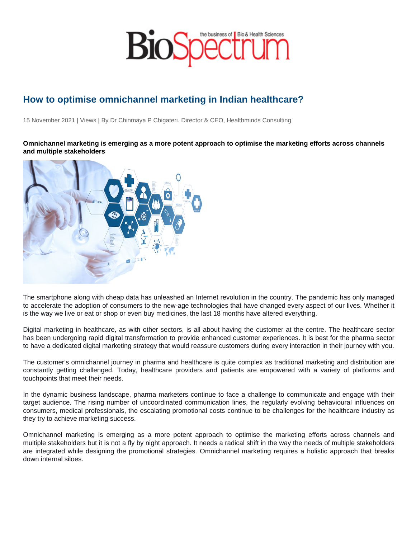## How to optimise omnichannel marketing in Indian healthcare?

15 November 2021 | Views | By Dr Chinmaya P Chigateri. Director & CEO, Healthminds Consulting

Omnichannel marketing is emerging as a more potent approach to optimise the marketing efforts across channels and multiple stakeholders

The smartphone along with cheap data has unleashed an Internet revolution in the country. The pandemic has only managed to accelerate the adoption of consumers to the new-age technologies that have changed every aspect of our lives. Whether it is the way we live or eat or shop or even buy medicines, the last 18 months have altered everything.

Digital marketing in healthcare, as with other sectors, is all about having the customer at the centre. The healthcare sector has been undergoing rapid digital transformation to provide enhanced customer experiences. It is best for the pharma sector to have a dedicated digital marketing strategy that would reassure customers during every interaction in their journey with you.

The customer's omnichannel journey in pharma and healthcare is quite complex as traditional marketing and distribution are constantly getting challenged. Today, healthcare providers and patients are empowered with a variety of platforms and touchpoints that meet their needs.

In the dynamic business landscape, pharma marketers continue to face a challenge to communicate and engage with their target audience. The rising number of uncoordinated communication lines, the regularly evolving behavioural influences on consumers, medical professionals, the escalating promotional costs continue to be challenges for the healthcare industry as they try to achieve marketing success.

Omnichannel marketing is emerging as a more potent approach to optimise the marketing efforts across channels and multiple stakeholders but it is not a fly by night approach. It needs a radical shift in the way the needs of multiple stakeholders are integrated while designing the promotional strategies. Omnichannel marketing requires a holistic approach that breaks down internal siloes.